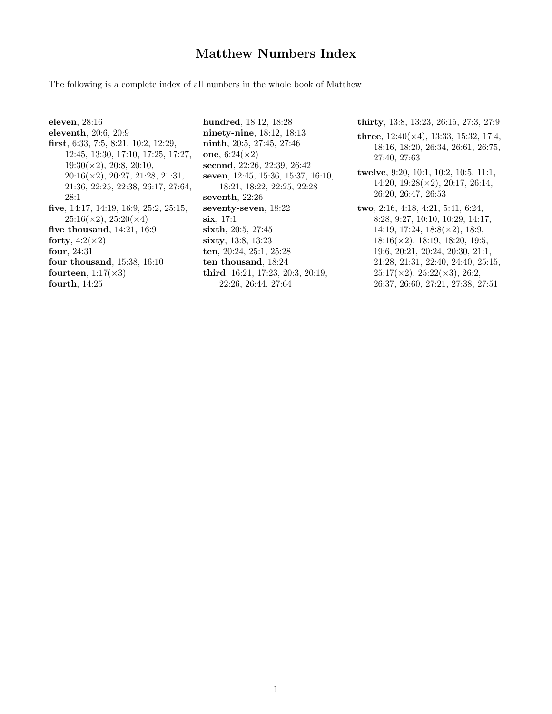## Matthew Numbers Index

The following is a complete index of all numbers in the whole book of Matthew

eleven, 28:16 eleventh, 20:6, 20:9 first, 6:33, 7:5, 8:21, 10:2, 12:29, 12:45, 13:30, 17:10, 17:25, 17:27, 19:30(×2), 20:8, 20:10,  $20:16(\times2), 20:27, 21:28, 21:31,$ 21:36, 22:25, 22:38, 26:17, 27:64, 28:1 five, 14:17, 14:19, 16:9, 25:2, 25:15,  $25:16(\times2), 25:20(\times4)$ five thousand, 14:21, 16:9 forty,  $4:2(\times2)$ four, 24:31 four thousand, 15:38, 16:10 fourteen,  $1:17(\times3)$ fourth, 14:25

hundred, 18:12, 18:28 ninety-nine, 18:12, 18:13 ninth, 20:5, 27:45, 27:46 one,  $6:24(\times2)$ second, 22:26, 22:39, 26:42 seven, 12:45, 15:36, 15:37, 16:10, 18:21, 18:22, 22:25, 22:28 seventh, 22:26 seventy-seven, 18:22 six, 17:1 sixth, 20:5, 27:45 sixty, 13:8, 13:23 ten, 20:24, 25:1, 25:28 ten thousand, 18:24 third, 16:21, 17:23, 20:3, 20:19, 22:26, 26:44, 27:64

thirty, 13:8, 13:23, 26:15, 27:3, 27:9

- three,  $12:40(\times4)$ ,  $13:33$ ,  $15:32$ ,  $17:4$ , 18:16, 18:20, 26:34, 26:61, 26:75, 27:40, 27:63
- twelve, 9:20, 10:1, 10:2, 10:5, 11:1, 14:20, 19:28(×2), 20:17, 26:14, 26:20, 26:47, 26:53
- two, 2:16, 4:18, 4:21, 5:41, 6:24, 8:28, 9:27, 10:10, 10:29, 14:17, 14:19, 17:24, 18:8(×2), 18:9,  $18:16(\times2)$ , 18:19, 18:20, 19:5, 19:6, 20:21, 20:24, 20:30, 21:1, 21:28, 21:31, 22:40, 24:40, 25:15,  $25:17(\times2), 25:22(\times3), 26:2,$ 26:37, 26:60, 27:21, 27:38, 27:51